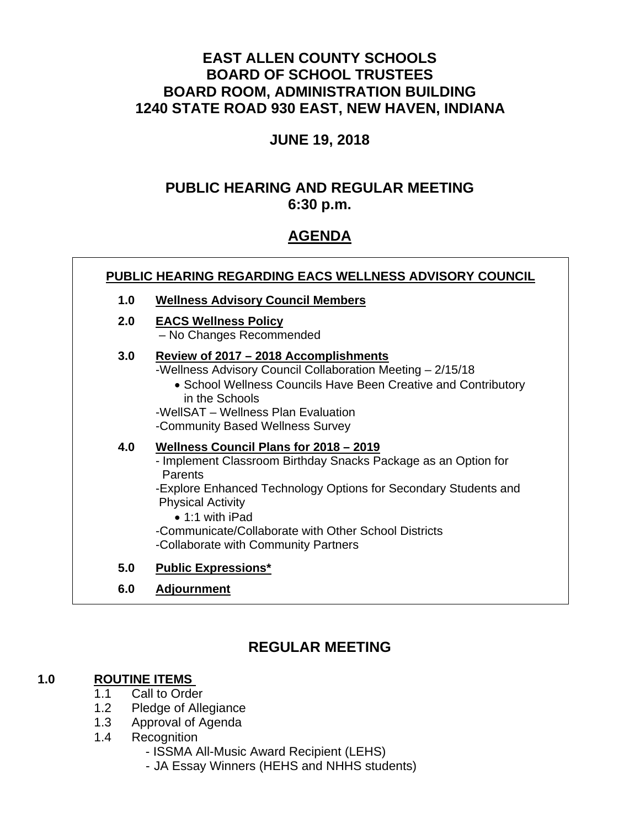# **EAST ALLEN COUNTY SCHOOLS BOARD OF SCHOOL TRUSTEES BOARD ROOM, ADMINISTRATION BUILDING 1240 STATE ROAD 930 EAST, NEW HAVEN, INDIANA**

## **JUNE 19, 2018**

# **PUBLIC HEARING AND REGULAR MEETING 6:30 p.m.**

# **AGENDA**

| PUBLIC HEARING REGARDING EACS WELLNESS ADVISORY COUNCIL |                                                                                                                                                                                                                                                                                                                                               |
|---------------------------------------------------------|-----------------------------------------------------------------------------------------------------------------------------------------------------------------------------------------------------------------------------------------------------------------------------------------------------------------------------------------------|
| 1.0                                                     | <b>Wellness Advisory Council Members</b>                                                                                                                                                                                                                                                                                                      |
| 2.0 <sub>1</sub>                                        | <b>EACS Wellness Policy</b><br>- No Changes Recommended                                                                                                                                                                                                                                                                                       |
| 3.0                                                     | Review of 2017 – 2018 Accomplishments<br>-Wellness Advisory Council Collaboration Meeting - 2/15/18<br>• School Wellness Councils Have Been Creative and Contributory<br>in the Schools<br>-WellSAT - Wellness Plan Evaluation<br>-Community Based Wellness Survey                                                                            |
| 4.0                                                     | Wellness Council Plans for 2018 - 2019<br>- Implement Classroom Birthday Snacks Package as an Option for<br>Parents<br>-Explore Enhanced Technology Options for Secondary Students and<br><b>Physical Activity</b><br>$\bullet$ 1:1 with iPad<br>-Communicate/Collaborate with Other School Districts<br>-Collaborate with Community Partners |
| 5.0                                                     | <b>Public Expressions*</b>                                                                                                                                                                                                                                                                                                                    |

**6.0 Adjournment**

# **REGULAR MEETING**

## **1.0 ROUTINE ITEMS**

- 1.1Call to Order
- 1.2 Pledge of Allegiance
- 1.3 Approval of Agenda
- 1.4 Recognition
	- ISSMA All-Music Award Recipient (LEHS)
	- JA Essay Winners (HEHS and NHHS students)